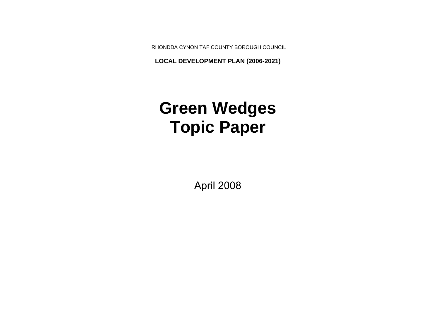RHONDDA CYNON TAF COUNTY BOROUGH COUNCIL

**LOCAL DEVELOPMENT PLAN (2006-2021)**

# **Green Wedges Topic Paper**

April 2008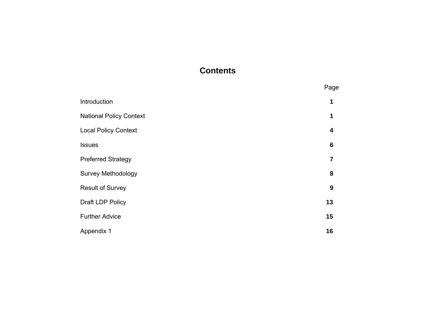# **Contents**

|                                | Page                    |
|--------------------------------|-------------------------|
| Introduction                   | 1                       |
| <b>National Policy Context</b> | 1                       |
| <b>Local Policy Context</b>    | $\overline{\mathbf{4}}$ |
| <b>Issues</b>                  | $6\phantom{1}6$         |
| <b>Preferred Strategy</b>      | 7                       |
| <b>Survey Methodology</b>      | 8                       |
| <b>Result of Survey</b>        | 9                       |
| Draft LDP Policy               | 13                      |
| <b>Further Advice</b>          | 15                      |
| Appendix 1                     | 16                      |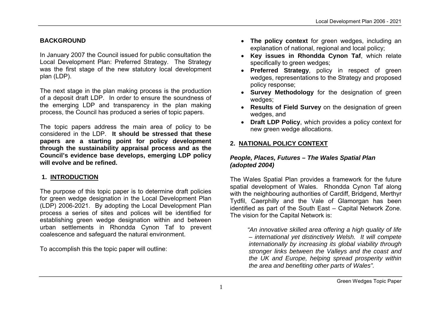#### **BACKGROUND**

In January 2007 the Council issued for public consultation the Local Development Plan: Preferred Strategy. The Strategy was the first stage of the new statutory local development plan (LDP).

The next stage in the plan making process is the production of a deposit draft LDP. In order to ensure the soundness of the emerging LDP and transparency in the plan making process, the Council has produced a series of topic papers.

The topic papers address the main area of policy to be considered in the LDP. **It should be stressed that these papers are a starting point for policy development through the sustainability appraisal process and as the Council's evidence base develops, emerging LDP policy will evolve and be refined.**

## **1. INTRODUCTION**

The purpose of this topic paper is to determine draft policies for green wedge designation in the Local Development Plan (LDP) 2006-2021. By adopting the Local Development Plan process a series of sites and polices will be identified for establishing green wedge designation within and between urban settlements in Rhondda Cynon Taf to prevent coalescence and safeguard the natural environment.

To accomplish this the topic paper will outline:

- **The policy context** for green wedges, including an explanation of national, regional and local policy;
- **Key issues in Rhondda Cynon Taf**, which relate specifically to green wedges;
- **Preferred Strategy**, policy in respect of green wedges, representations to the Strategy and proposed policy response;
- **Survey Methodology** for the designation of green wedges;
- **Results of Field Survey** on the designation of green wedges, and
- **Draft LDP Policy**, which provides a policy context for new green wedge allocations.

# **2. NATIONAL POLICY CONTEXT**

#### *People, Places, Futures – The Wales Spatial Plan (adopted 2004)*

The Wales Spatial Plan provides a framework for the future spatial development of Wales. Rhondda Cynon Taf along with the neighbouring authorities of Cardiff, Bridgend, Merthyr Tydfil, Caerphilly and the Vale of Glamorgan has been identified as part of the South East – Capital Network Zone. The vision for the Capital Network is:

> *"An innovative skilled area offering a high quality of life – international yet distinctively Welsh. It will compete internationally by increasing its global viability through stronger links between the Valleys and the coast and the UK and Europe, helping spread prosperity within the area and benefiting other parts of Wales".*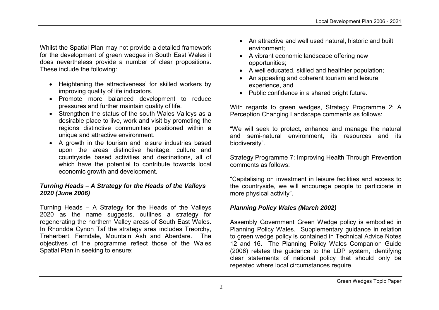Whilst the Spatial Plan may not provide a detailed framework for the development of green wedges in South East Wales it does nevertheless provide a number of clear propositions. These include the following:

- Heightening the attractiveness' for skilled workers by improving quality of life indicators.
- Promote more balanced development to reduce pressures and further maintain quality of life.
- Strengthen the status of the south Wales Valleys as a desirable place to live, work and visit by promoting the regions distinctive communities positioned within a unique and attractive environment.
- A growth in the tourism and leisure industries based upon the areas distinctive heritage, culture and countryside based activities and destinations, all of which have the potential to contribute towards local economic growth and development.

#### *Turning Heads – A Strategy for the Heads of the Valleys 2020 (June 2006)*

Turning Heads – A Strategy for the Heads of the Valleys 2020 as the name suggests, outlines a strategy for regenerating the northern Valley areas of South East Wales. In Rhondda Cynon Taf the strategy area includes Treorchy, Treherbert, Ferndale, Mountain Ash and Aberdare. The objectives of the programme reflect those of the Wales Spatial Plan in seeking to ensure:

- An attractive and well used natural, historic and built environment;
- A vibrant economic landscape offering new opportunities;
- A well educated, skilled and healthier population;
- An appealing and coherent tourism and leisure experience, and
- Public confidence in a shared bright future.

With regards to green wedges, Strategy Programme 2: A Perception Changing Landscape comments as follows:

"We will seek to protect, enhance and manage the natural and semi-natural environment, its resources and its biodiversity".

Strategy Programme 7: Improving Health Through Prevention comments as follows:

"Capitalising on investment in leisure facilities and access to the countryside, we will encourage people to participate in more physical activity".

## *Planning Policy Wales (March 2002)*

Assembly Government Green Wedge policy is embodied in Planning Policy Wales. Supplementary guidance in relation to green wedge policy is contained in Technical Advice Notes 12 and 16. The Planning Policy Wales Companion Guide (2006) relates the guidance to the LDP system, identifying clear statements of national policy that should only be repeated where local circumstances require.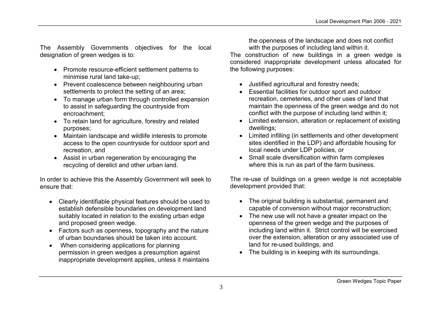The Assembly Governments objectives for the local designation of green wedges is to:

- Promote resource-efficient settlement patterns to minimise rural land take-up;
- Prevent coalescence between neighbouring urban settlements to protect the setting of an area;
- To manage urban form through controlled expansion to assist in safeguarding the countryside from encroachment;
- To retain land for agriculture, forestry and related purposes;
- Maintain landscape and wildlife interests to promote access to the open countryside for outdoor sport and recreation, and
- Assist in urban regeneration by encouraging the recycling of derelict and other urban land.

In order to achieve this the Assembly Government will seek to ensure that:

- Clearly identifiable physical features should be used to establish defensible boundaries on development land suitably located in relation to the existing urban edge and proposed green wedge.
- Factors such as openness, topography and the nature of urban boundaries should be taken into account.
- When considering applications for planning permission in green wedges a presumption against inappropriate development applies, unless it maintains

the openness of the landscape and does not conflict with the purposes of including land within it.

The construction of new buildings in a green wedge is considered inappropriate development unless allocated for the following purposes:

- Justified agricultural and forestry needs;
- Essential facilities for outdoor sport and outdoor recreation, cemeteries, and other uses of land that maintain the openness of the green wedge and do not conflict with the purpose of including land within it;
- Limited extension, alteration or replacement of existing dwellings;
- Limited infilling (in settlements and other development sites identified in the LDP) and affordable housing for local needs under LDP policies, or
- Small scale diversification within farm complexes where this is run as part of the farm business.

The re-use of buildings on a green wedge is not acceptable development provided that:

- The original building is substantial, permanent and capable of conversion without major reconstruction;
- The new use will not have a greater impact on the openness of the green wedge and the purposes of including land within it. Strict control will be exercised over the extension, alteration or any associated use of land for re-used buildings, and
- The building is in keeping with its surroundings.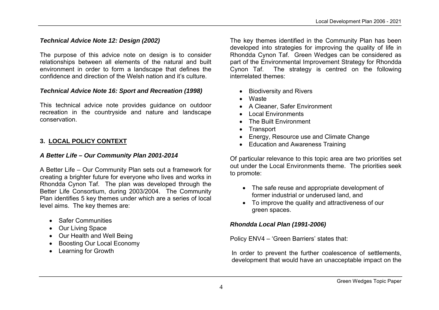#### *Technical Advice Note 12: Design (2002)*

The purpose of this advice note on design is to consider relationships between all elements of the natural and built environment in order to form a landscape that defines the confidence and direction of the Welsh nation and it's culture.

#### *Technical Advice Note 16: Sport and Recreation (1998)*

This technical advice note provides guidance on outdoor recreation in the countryside and nature and landscape conservation.

#### **3. LOCAL POLICY CONTEXT**

#### *A Better Life – Our Community Plan 2001-2014*

A Better Life – Our Community Plan sets out a framework for creating a brighter future for everyone who lives and works in Rhondda Cynon Taf. The plan was developed through the Better Life Consortium, during 2003/2004. The Community Plan identifies 5 key themes under which are a series of local level aims. The key themes are:

- Safer Communities
- Our Living Space
- Our Health and Well Being
- Boosting Our Local Economy
- Learning for Growth

The key themes identified in the Community Plan has been developed into strategies for improving the quality of life in Rhondda Cynon Taf. Green Wedges can be considered as part of the Environmental Improvement Strategy for Rhondda Cynon Taf. The strategy is centred on the following interrelated themes:

- Biodiversity and Rivers
- Waste
- A Cleaner, Safer Environment
- Local Environments
- The Built Environment
- Transport
- Energy, Resource use and Climate Change
- Education and Awareness Training

Of particular relevance to this topic area are two priorities set out under the Local Environments theme. The priorities seek to promote:

- The safe reuse and appropriate development of former industrial or underused land, and
- To improve the quality and attractiveness of our green spaces.

#### *Rhondda Local Plan (1991-2006)*

Policy ENV4 – 'Green Barriers' states that:

In order to prevent the further coalescence of settlements, development that would have an unacceptable impact on the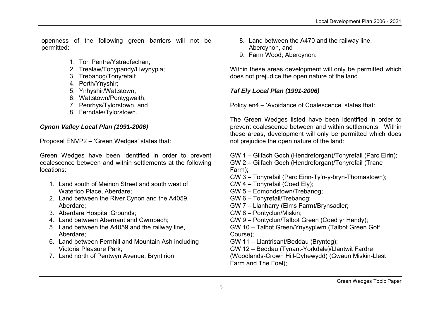openness of the following green barriers will not be permitted:

- 1. Ton Pentre/Ystradfechan;
- 2. Trealaw/Tonypandy/Llwynypia;
- 3. Trebanog/Tonyrefail;
- 4. Porth/Ynyshir;
- 5. Ynhyshir/Wattstown;
- 6. Wattstown/Pontygwaith;
- 7. Penrhys/Tylorstown, and
- 8. Ferndale/Tylorstown.

#### *Cynon Valley Local Plan (1991-2006)*

Proposal ENVP2 – 'Green Wedges' states that:

Green Wedges have been identified in order to prevent coalescence between and within settlements at the following locations:

- 1. Land south of Meirion Street and south west of Waterloo Place, Aberdare;
- 2. Land between the River Cynon and the A4059, Aberdare;
- 3. Aberdare Hospital Grounds;
- 4. Land between Abernant and Cwmbach;
- 5. Land between the A4059 and the railway line, Aberdare;
- 6. Land between Fernhill and Mountain Ash including Victoria Pleasure Park;
- 7. Land north of Pentwyn Avenue, Bryntirion
- 8. Land between the A470 and the railway line, Abercynon, and
- 9. Farm Wood, Abercynon.

Within these areas development will only be permitted which does not prejudice the open nature of the land.

## *Taf Ely Local Plan (1991-2006)*

Policy en4 – 'Avoidance of Coalescence' states that:

The Green Wedges listed have been identified in order to prevent coalescence between and within settlements. Within these areas, development will only be permitted which does not prejudice the open nature of the land:

GW 1 – Gilfach Goch (Hendreforgan)/Tonyrefail (Parc Eirin);

- GW 2 Gilfach Goch (Hendreforgan)/Tonyrefail (Trane Farm);
- GW 3 Tonyrefail (Parc Eirin-Ty'n-y-bryn-Thomastown);
- GW 4 Tonyrefail (Coed Ely);
- GW 5 Edmondstown/Trebanog;
- GW 6 Tonyrefail/Trebanog;
- GW 7 Llanharry (Elms Farm)/Brynsadler;
- GW 8 Pontyclun/Miskin;
- GW 9 Pontyclun/Talbot Green (Coed yr Hendy);
- GW 10 Talbot Green/Ynysyplwm (Talbot Green Golf Course);
- GW 11 Llantrisant/Beddau (Brynteg);
- GW 12 Beddau (Tynant-Yorkdale)/Llantwit Fardre (Woodlands-Crown Hill-Dyhewydd) (Gwaun Miskin-Llest Farm and The Foel);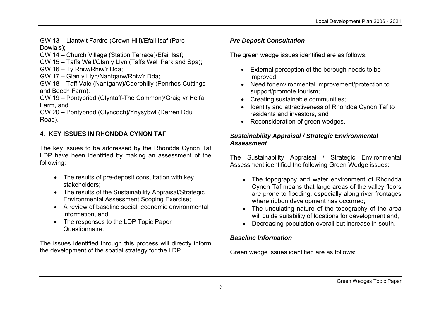GW 13 – Llantwit Fardre (Crown Hill)/Efail Isaf (Parc Dowlais);

- GW 14 Church Village (Station Terrace)/Efail Isaf;
- GW 15 Taffs Well/Glan y Llyn (Taffs Well Park and Spa);

GW 16 – Ty Rhiw/Rhiw'r Dda;

GW 17 – Glan y Llyn/Nantgarw/Rhiw'r Dda;

GW 18 – Taff Vale (Nantgarw)/Caerphilly (Penrhos Cuttings and Beech Farm);

GW 19 – Pontypridd (Glyntaff-The Common)/Graig yr Helfa Farm, and

GW 20 – Pontypridd (Glyncoch)/Ynysybwl (Darren Ddu Road).

## **4. KEY ISSUES IN RHONDDA CYNON TAF**

The key issues to be addressed by the Rhondda Cynon Taf LDP have been identified by making an assessment of the following:

- The results of pre-deposit consultation with key stakeholders;
- The results of the Sustainability Appraisal/Strategic Environmental Assessment Scoping Exercise;
- A review of baseline social, economic environmental information, and
- The responses to the LDP Topic Paper Questionnaire.

The issues identified through this process will directly inform the development of the spatial strategy for the LDP.

# *Pre Deposit Consultation*

The green wedge issues identified are as follows:

- External perception of the borough needs to be improved;
- Need for environmental improvement/protection to support/promote tourism;
- Creating sustainable communities;
- Identity and attractiveness of Rhondda Cynon Taf to residents and investors, and
- Reconsideration of green wedges.

#### *Sustainability Appraisal / Strategic Environmental Assessment*

The Sustainability Appraisal / Strategic Environmental Assessment identified the following Green Wedge issues:

- The topography and water environment of Rhondda Cynon Taf means that large areas of the valley floors are prone to flooding, especially along river frontages where ribbon development has occurred;
- The undulating nature of the topography of the area will guide suitability of locations for development and,
- Decreasing population overall but increase in south.

## *Baseline Information*

Green wedge issues identified are as follows: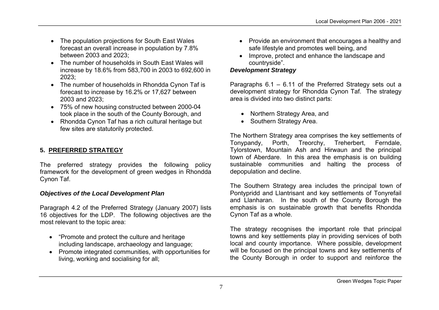- The population projections for South East Wales forecast an overall increase in population by 7.8% between 2003 and 2023;
- The number of households in South East Wales will increase by 18.6% from 583,700 in 2003 to 692,600 in 2023;
- The number of households in Rhondda Cynon Taf is forecast to increase by 16.2% or 17,627 between 2003 and 2023;
- 75% of new housing constructed between 2000-04 took place in the south of the County Borough, and
- Rhondda Cynon Taf has a rich cultural heritage but few sites are statutorily protected.

# **5. PREFERRED STRATEGY**

The preferred strategy provides the following policy framework for the development of green wedges in Rhondda Cynon Taf.

## *Objectives of the Local Development Plan*

Paragraph 4.2 of the Preferred Strategy (January 2007) lists 16 objectives for the LDP. The following objectives are the most relevant to the topic area:

- "Promote and protect the culture and heritage" including landscape, archaeology and language;
- Promote integrated communities, with opportunities for living, working and socialising for all;
- Provide an environment that encourages a healthy and safe lifestyle and promotes well being, and
- Improve, protect and enhance the landscape and countryside".

#### *Development Strategy*

Paragraphs 6.1 – 6.11 of the Preferred Strategy sets out a development strategy for Rhondda Cynon Taf. The strategy area is divided into two distinct parts:

- Northern Strategy Area, and
- Southern Strategy Area.

The Northern Strategy area comprises the key settlements of Tonypandy, Porth, Treorchy, Treherbert, Ferndale, Tylorstown, Mountain Ash and Hirwaun and the principal town of Aberdare. In this area the emphasis is on building sustainable communities and halting the process of depopulation and decline.

The Southern Strategy area includes the principal town of Pontypridd and Llantrisant and key settlements of Tonyrefail and Llanharan. In the south of the County Borough the emphasis is on sustainable growth that benefits Rhondda Cynon Taf as a whole.

The strategy recognises the important role that principal towns and key settlements play in providing services of both local and county importance. Where possible, development will be focused on the principal towns and key settlements of the County Borough in order to support and reinforce the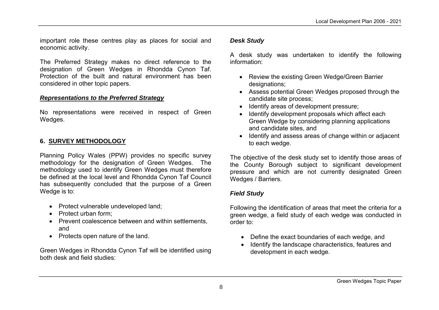important role these centres play as places for social and economic activity.

The Preferred Strategy makes no direct reference to the designation of Green Wedges in Rhondda Cynon Taf. Protection of the built and natural environment has been considered in other topic papers.

#### *Representations to the Preferred Strategy*

No representations were received in respect of Green Wedges.

#### **6. SURVEY METHODOLOGY**

Planning Policy Wales (PPW) provides no specific survey methodology for the designation of Green Wedges. The methodology used to identify Green Wedges must therefore be defined at the local level and Rhondda Cynon Taf Council has subsequently concluded that the purpose of a Green Wedge is to:

- Protect vulnerable undeveloped land;
- Protect urban form:
- Prevent coalescence between and within settlements, and
- Protects open nature of the land.

Green Wedges in Rhondda Cynon Taf will be identified using both desk and field studies:

#### *Desk Study*

A desk study was undertaken to identify the following information:

- Review the existing Green Wedge/Green Barrier designations;
- Assess potential Green Wedges proposed through the candidate site process;
- Identify areas of development pressure;
- Identify development proposals which affect each Green Wedge by considering planning applications and candidate sites, and
- Identify and assess areas of change within or adjacent to each wedge.

The objective of the desk study set to identify those areas of the County Borough subject to significant development pressure and which are not currently designated Green Wedges / Barriers.

#### *Field Study*

Following the identification of areas that meet the criteria for a green wedge, a field study of each wedge was conducted in order to:

- Define the exact boundaries of each wedge, and
- Identify the landscape characteristics, features and development in each wedge.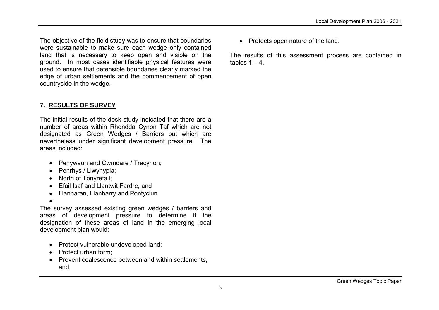The objective of the field study was to ensure that boundaries were sustainable to make sure each wedge only contained land that is necessary to keep open and visible on the ground. In most cases identifiable physical features were used to ensure that defensible boundaries clearly marked the edge of urban settlements and the commencement of open countryside in the wedge.

## **7. RESULTS OF SURVEY**

The initial results of the desk study indicated that there are a number of areas within Rhondda Cynon Taf which are not designated as Green Wedges / Barriers but which are nevertheless under significant development pressure. The areas included:

- Penywaun and Cwmdare / Trecynon;
- Penrhys / Llwynypia;
- North of Tonvrefail:
- Efail Isaf and Llantwit Fardre, and
- Llanharan, Llanharry and Pontyclun
- $\bullet$

The survey assessed existing green wedges / barriers and areas of development pressure to determine if the designation of these areas of land in the emerging local development plan would:

- Protect vulnerable undeveloped land;
- Protect urban form:
- Prevent coalescence between and within settlements, and

• Protects open nature of the land.

The results of this assessment process are contained in tables  $1 - 4$ .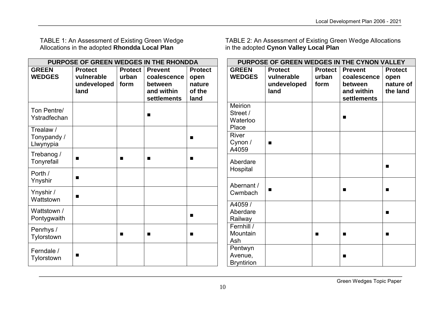TABLE 1: An Assessment of Existing Green Wedge Allocations in the adopted **Rhondda Local Plan**

TABLE 2: An Assessment of Existing Green Wedge Allocations in the adopted **Cynon Valley Local Plan**

|                                       | PURPOSE OF GREEN WEDGES IN THE RHONDDA |                |                |                |                                         | PURPOSE OF GREEN WEDGES IN THE CYNON VALLEY |                |                |                |
|---------------------------------------|----------------------------------------|----------------|----------------|----------------|-----------------------------------------|---------------------------------------------|----------------|----------------|----------------|
| <b>GREEN</b>                          | <b>Protect</b>                         | <b>Protect</b> | <b>Prevent</b> | <b>Protect</b> | <b>GREEN</b>                            | <b>Protect</b>                              | <b>Protect</b> | <b>Prevent</b> | <b>Protect</b> |
| <b>WEDGES</b>                         | vulnerable                             | urban          | coalescence    | open           | <b>WEDGES</b>                           | vulnerable                                  | urban          | coalescence    | open           |
|                                       | undeveloped                            | form           | between        | nature         |                                         | undeveloped                                 | form           | between        | nature of      |
|                                       | land                                   |                | and within     | of the         |                                         | land                                        |                | and within     | the land       |
|                                       |                                        |                | settlements    | land           |                                         |                                             |                | settlements    |                |
| Ton Pentre/<br>Ystradfechan           |                                        |                | п              |                | Meirion<br>Street /<br>Waterloo         |                                             |                |                |                |
|                                       |                                        |                |                |                | Place                                   |                                             |                |                |                |
| Trealaw /<br>Tonypandy /<br>Llwynypia |                                        |                |                | ■              | <b>River</b><br>Cynon /                 | $\blacksquare$                              |                |                |                |
| Trebanog /<br>Tonyrefail              | п                                      | п              | п              | ■              | A4059<br>Aberdare                       |                                             |                |                | п              |
| Porth /<br>Ynyshir                    | $\blacksquare$                         |                |                |                | Hospital<br>Abernant /                  |                                             |                |                |                |
| Ynyshir /<br>Wattstown                | $\blacksquare$                         |                |                |                | Cwmbach                                 | п                                           |                |                | $\blacksquare$ |
| Wattstown /<br>Pontygwaith            |                                        |                |                | п              | A4059/<br>Aberdare<br>Railway           |                                             |                |                | $\blacksquare$ |
| Penrhys /<br>Tylorstown               |                                        | п              | п              |                | Fernhill /<br>Mountain<br>Ash           |                                             | п              | п              | п              |
| Ferndale /<br>Tylorstown              | $\blacksquare$                         |                |                |                | Pentwyn<br>Avenue,<br><b>Bryntirion</b> |                                             |                |                |                |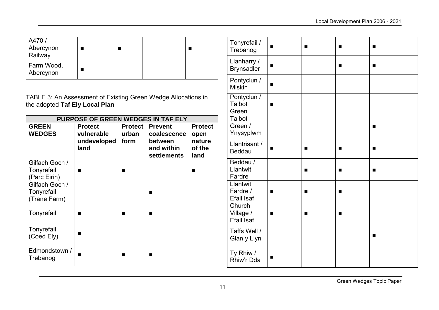| A470/<br>Abercynon<br>Railway |  |  |
|-------------------------------|--|--|
| Farm Wood,<br>Abercynon       |  |  |

TABLE 3: An Assessment of Existing Green Wedge Allocations in the adopted **Taf Ely Local Plan**

| PURPOSE OF GREEN WEDGES IN TAF ELY |                |                |                |                |  |  |
|------------------------------------|----------------|----------------|----------------|----------------|--|--|
| <b>GREEN</b>                       | <b>Protect</b> | <b>Protect</b> | <b>Prevent</b> | <b>Protect</b> |  |  |
| <b>WEDGES</b>                      | vulnerable     | urban          | coalescence    | open           |  |  |
|                                    | undeveloped    | form           | between        | nature         |  |  |
|                                    | land           |                | and within     | of the         |  |  |
|                                    |                |                | settlements    | land           |  |  |
| Gilfach Goch /                     |                |                |                |                |  |  |
| Tonyrefail                         |                |                |                |                |  |  |
| (Parc Eirin)                       |                |                |                |                |  |  |
| Gilfach Goch /                     |                |                |                |                |  |  |
| Tonyrefail                         |                |                | ■              |                |  |  |
| Trane Farm)                        |                |                |                |                |  |  |
|                                    |                |                |                |                |  |  |
| Tonyrefail                         |                |                |                |                |  |  |
|                                    |                |                |                |                |  |  |
| Tonyrefail                         |                |                |                |                |  |  |
| (Coed Ely)                         | ٠              |                |                |                |  |  |
|                                    |                |                |                |                |  |  |
| Edmondstown /                      |                |                |                |                |  |  |
| Trebanog                           | ш              |                |                |                |  |  |
|                                    |                |                |                |                |  |  |

| Tonyrefail /<br>Trebanog                  |   | ٠ | ш | ٠              |
|-------------------------------------------|---|---|---|----------------|
| Llanharry /<br><b>Brynsadler</b>          | п |   | ■ | $\blacksquare$ |
| Pontyclun /<br><b>Miskin</b>              | ■ |   |   |                |
| Pontyclun /<br>Talbot<br>Green            | п |   |   |                |
| <b>Talbot</b><br>Green /<br>Ynysyplwm     |   |   |   | ■              |
| Llantrisant /<br><b>Beddau</b>            |   |   |   |                |
| Beddau /<br>Llantwit<br>Fardre            |   | ■ | ■ | ■              |
| Llantwit<br>Fardre /<br><b>Efail Isaf</b> |   |   |   |                |
| Church<br>Village /<br><b>Efail Isaf</b>  | п | ■ | ■ |                |
| Taffs Well /<br>Glan y Llyn               |   |   |   | ■              |
| Ty Rhiw /<br>Rhiw'r Dda                   | ■ |   |   |                |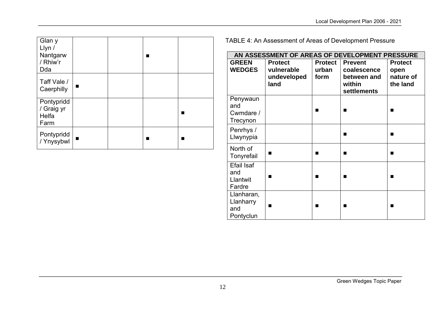| Glan y<br>Llyn /<br>Nantgarw<br>/ Rhiw'r<br>Dda |  |  |
|-------------------------------------------------|--|--|
| Taff Vale /<br>Caerphilly                       |  |  |
| Pontypridd<br>/ Graig yr<br>Helfa<br>Farm       |  |  |
| Pontypridd<br>/ Ynysybwl                        |  |  |

TABLE 4: An Assessment of Areas of Development Pressure

| AN ASSESSMENT OF AREAS OF DEVELOPMENT PRESSURE |                                                     |                                 |                                                                       |                                                 |  |  |  |
|------------------------------------------------|-----------------------------------------------------|---------------------------------|-----------------------------------------------------------------------|-------------------------------------------------|--|--|--|
| <b>GREEN</b><br><b>WEDGES</b>                  | <b>Protect</b><br>vulnerable<br>undeveloped<br>land | <b>Protect</b><br>urban<br>form | <b>Prevent</b><br>coalescence<br>between and<br>within<br>settlements | <b>Protect</b><br>open<br>nature of<br>the land |  |  |  |
| Penywaun<br>and<br>Cwmdare /<br>Trecynon       |                                                     |                                 |                                                                       |                                                 |  |  |  |
| Penrhys /<br>Llwynypia                         |                                                     |                                 | п                                                                     | ■                                               |  |  |  |
| North of<br>Tonyrefail                         | ■                                                   |                                 | ▄                                                                     |                                                 |  |  |  |
| <b>Efail Isaf</b><br>and<br>Llantwit<br>Fardre | ■                                                   |                                 | ■                                                                     |                                                 |  |  |  |
| Llanharan,<br>Llanharry<br>and<br>Pontyclun    | ▬                                                   |                                 | ■                                                                     |                                                 |  |  |  |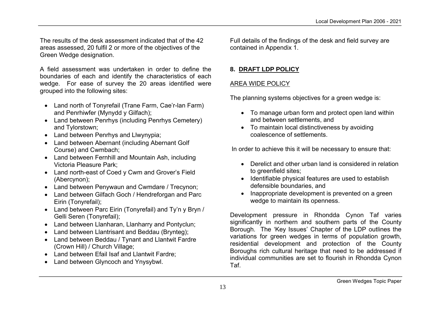The results of the desk assessment indicated that of the 42 areas assessed, 20 fulfil 2 or more of the objectives of the Green Wedge designation.

A field assessment was undertaken in order to define the boundaries of each and identify the characteristics of each wedge. For ease of survey the 20 areas identified were grouped into the following sites:

- Land north of Tonyrefail (Trane Farm, Cae'r-lan Farm) and Penrhiwfer (Mynydd y Gilfach);
- Land between Penrhys (including Penrhys Cemetery) and Tylorstown;
- Land between Penrhys and Llwynypia;
- Land between Abernant (including Abernant Golf Course) and Cwmbach;
- Land between Fernhill and Mountain Ash, including Victoria Pleasure Park;
- Land north-east of Coed y Cwm and Grover's Field (Abercynon);
- Land between Penywaun and Cwmdare / Trecynon;
- Land between Gilfach Goch / Hendreforgan and Parc Eirin (Tonyrefail);
- Land between Parc Eirin (Tonyrefail) and Ty'n y Bryn / Gelli Seren (Tonyrefail);
- Land between Llanharan, Llanharry and Pontyclun;
- Land between Llantrisant and Beddau (Brynteg);
- Land between Beddau / Tynant and Llantwit Fardre (Crown Hill) / Church Village;
- Land between Efail Isaf and Llantwit Fardre:
- Land between Glyncoch and Ynysybwl.

Full details of the findings of the desk and field survey are contained in Appendix 1.

## **8. DRAFT LDP POLICY**

#### AREA WIDE POLICY

The planning systems objectives for a green wedge is:

- To manage urban form and protect open land within and between settlements, and
- To maintain local distinctiveness by avoiding coalescence of settlements.

In order to achieve this it will be necessary to ensure that:

- Derelict and other urban land is considered in relation to greenfield sites;
- Identifiable physical features are used to establish defensible boundaries, and
- Inappropriate development is prevented on a green wedge to maintain its openness.

Development pressure in Rhondda Cynon Taf varies significantly in northern and southern parts of the County Borough. The 'Key Issues' Chapter of the LDP outlines the variations for green wedges in terms of population growth, residential development and protection of the County Boroughs rich cultural heritage that need to be addressed if individual communities are set to flourish in Rhondda Cynon Taf.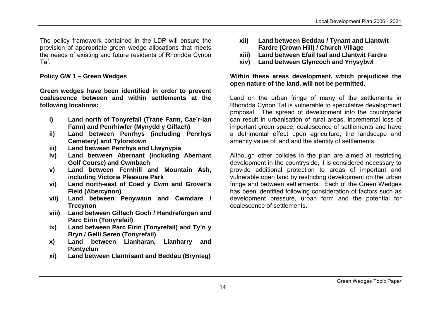The policy framework contained in the LDP will ensure the provision of appropriate green wedge allocations that meets the needs of existing and future residents of Rhondda Cynon Taf.

#### **Policy GW 1 – Green Wedges**

**Green wedges have been identified in order to prevent coalescence between and within settlements at the following locations:**

- **i) Land north of Tonyrefail (Trane Farm, Cae'r-lan Farm) and Penrhiwfer (Mynydd y Gilfach)**
- **ii) Land between Penrhys (including Penrhys Cemetery) and Tylorstown**
- **iii) Land between Penrhys and Llwynypia**
- **iv) Land between Abernant (including Abernant Golf Course) and Cwmbach**
- **v) Land between Fernhill and Mountain Ash, including Victoria Pleasure Park**
- **vi) Land north-east of Coed y Cwm and Grover's Field (Abercynon)**
- **vii) Land between Penywaun and Cwmdare / Trecynon**
- **viii) Land between Gilfach Goch / Hendreforgan and Parc Eirin (Tonyrefail)**
- **ix) Land between Parc Eirin (Tonyrefail) and Ty'n y Bryn / Gelli Seren (Tonyrefail)**
- **x) Land between Llanharan, Llanharry and Pontyclun**
- **xi) Land between Llantrisant and Beddau (Brynteg)**
- **xii) Land between Beddau / Tynant and Llantwit Fardre (Crown Hill) / Church Village**
- **xiii) Land between Efail Isaf and Llantwit Fardre**
- **xiv) Land between Glyncoch and Ynysybwl**

#### **Within these areas development, which prejudices the open nature of the land, will not be permitted.**

Land on the urban fringe of many of the settlements in Rhondda Cynon Taf is vulnerable to speculative development proposal. The spread of development into the countryside can result in urbanisation of rural areas, incremental loss of important green space, coalescence of settlements and have a detrimental effect upon agriculture, the landscape and amenity value of land and the identity of settlements.

Although other policies in the plan are aimed at restricting development in the countryside, it is considered necessary to provide additional protection to areas of important and vulnerable open land by restricting development on the urban fringe and between settlements. Each of the Green Wedges has been identified following consideration of factors such as development pressure, urban form and the potential for coalescence of settlements.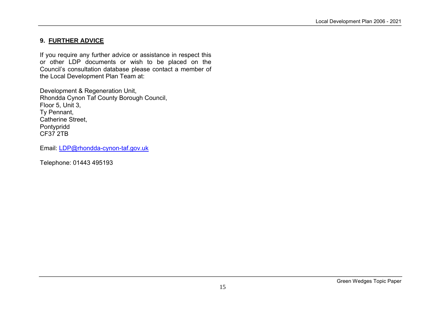## **9. FURTHER ADVICE**

If you require any further advice or assistance in respect this or other LDP documents or wish to be placed on the Council's consultation database please contact a member of the Local Development Plan Team at:

Development & Regeneration Unit, Rhondda Cynon Taf County Borough Council, Floor 5, Unit 3, Ty Pennant, Catherine Street, Pontypridd CF37 2TB

Email: LDP@rhondda-cynon-taf.gov.uk

Telephone: 01443 495193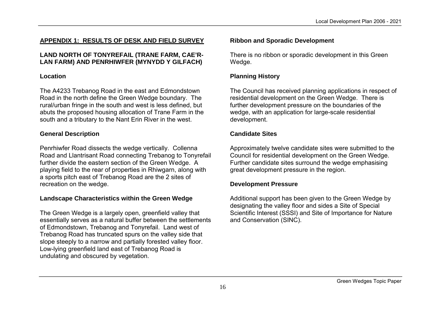## **APPENDIX 1: RESULTS OF DESK AND FIELD SURVEY**

#### **LAND NORTH OF TONYREFAIL (TRANE FARM, CAE'R-LAN FARM) AND PENRHIWFER (MYNYDD Y GILFACH)**

#### **Location**

The A4233 Trebanog Road in the east and Edmondstown Road in the north define the Green Wedge boundary. The rural/urban fringe in the south and west is less defined, but abuts the proposed housing allocation of Trane Farm in the south and a tributary to the Nant Erin River in the west.

## **General Description**

Penrhiwfer Road dissects the wedge vertically. Collenna Road and Llantrisant Road connecting Trebanog to Tonyrefail further divide the eastern section of the Green Wedge. A playing field to the rear of properties in Rhiwgarn, along with a sports pitch east of Trebanog Road are the 2 sites of recreation on the wedge.

## **Landscape Characteristics within the Green Wedge**

The Green Wedge is a largely open, greenfield valley that essentially serves as a natural buffer between the settlements of Edmondstown, Trebanog and Tonyrefail. Land west of Trebanog Road has truncated spurs on the valley side that slope steeply to a narrow and partially forested valley floor. Low-lying greenfield land east of Trebanog Road is undulating and obscured by vegetation.

## **Ribbon and Sporadic Development**

There is no ribbon or sporadic development in this Green Wedge.

## **Planning History**

The Council has received planning applications in respect of residential development on the Green Wedge. There is further development pressure on the boundaries of the wedge, with an application for large-scale residential development.

## **Candidate Sites**

Approximately twelve candidate sites were submitted to the Council for residential development on the Green Wedge. Further candidate sites surround the wedge emphasising great development pressure in the region.

#### **Development Pressure**

Additional support has been given to the Green Wedge by designating the valley floor and sides a Site of Special Scientific Interest (SSSI) and Site of Importance for Nature and Conservation (SINC).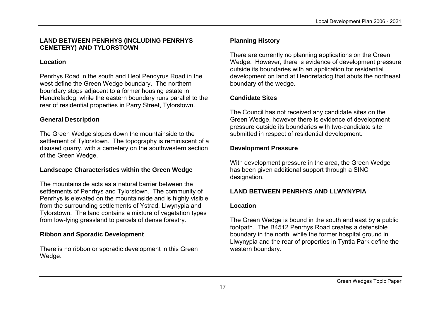#### **LAND BETWEEN PENRHYS (INCLUDING PENRHYS CEMETERY) AND TYLORSTOWN**

#### **Location**

Penrhys Road in the south and Heol Pendyrus Road in the west define the Green Wedge boundary. The northern boundary stops adjacent to a former housing estate in Hendrefadog, while the eastern boundary runs parallel to the rear of residential properties in Parry Street, Tylorstown.

#### **General Description**

The Green Wedge slopes down the mountainside to the settlement of Tylorstown. The topography is reminiscent of a disused quarry, with a cemetery on the southwestern section of the Green Wedge.

#### **Landscape Characteristics within the Green Wedge**

The mountainside acts as a natural barrier between the settlements of Penrhys and Tylorstown. The community of Penrhys is elevated on the mountainside and is highly visible from the surrounding settlements of Ystrad, Llwynypia and Tylorstown. The land contains a mixture of vegetation types from low-lying grassland to parcels of dense forestry.

#### **Ribbon and Sporadic Development**

There is no ribbon or sporadic development in this Green Wedge.

#### **Planning History**

There are currently no planning applications on the Green Wedge. However, there is evidence of development pressure outside its boundaries with an application for residential development on land at Hendrefadog that abuts the northeast boundary of the wedge.

#### **Candidate Sites**

The Council has not received any candidate sites on the Green Wedge, however there is evidence of development pressure outside its boundaries with two-candidate site submitted in respect of residential development.

#### **Development Pressure**

With development pressure in the area, the Green Wedge has been given additional support through a SINC designation.

## **LAND BETWEEN PENRHYS AND LLWYNYPIA**

#### **Location**

The Green Wedge is bound in the south and east by a public footpath. The B4512 Penrhys Road creates a defensible boundary in the north, while the former hospital ground in Llwynypia and the rear of properties in Tyntla Park define the western boundary.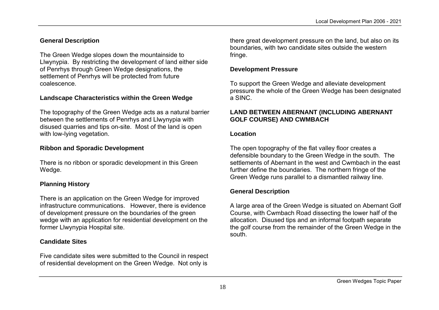## **General Description**

The Green Wedge slopes down the mountainside to Llwynypia. By restricting the development of land either side of Penrhys through Green Wedge designations, the settlement of Penrhys will be protected from future coalescence.

## **Landscape Characteristics within the Green Wedge**

The topography of the Green Wedge acts as a natural barrier between the settlements of Penrhys and Llwynypia with disused quarries and tips on-site. Most of the land is open with low-lying vegetation.

## **Ribbon and Sporadic Development**

There is no ribbon or sporadic development in this Green Wedge.

## **Planning History**

There is an application on the Green Wedge for improved infrastructure communications. However, there is evidence of development pressure on the boundaries of the green wedge with an application for residential development on the former Llwynypia Hospital site.

## **Candidate Sites**

Five candidate sites were submitted to the Council in respect of residential development on the Green Wedge. Not only is

there great development pressure on the land, but also on its boundaries, with two candidate sites outside the western fringe.

#### **Development Pressure**

To support the Green Wedge and alleviate development pressure the whole of the Green Wedge has been designated a SINC.

#### **LAND BETWEEN ABERNANT (INCLUDING ABERNANT GOLF COURSE) AND CWMBACH**

#### **Location**

The open topography of the flat valley floor creates a defensible boundary to the Green Wedge in the south. The settlements of Abernant in the west and Cwmbach in the east further define the boundaries. The northern fringe of the Green Wedge runs parallel to a dismantled railway line.

## **General Description**

A large area of the Green Wedge is situated on Abernant Golf Course, with Cwmbach Road dissecting the lower half of the allocation. Disused tips and an informal footpath separate the golf course from the remainder of the Green Wedge in the south.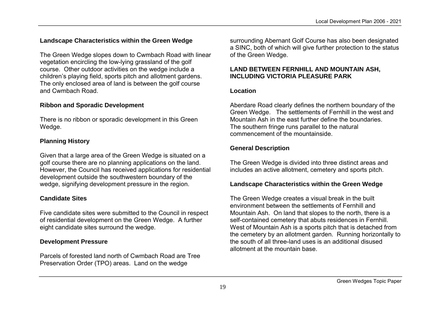# **Landscape Characteristics within the Green Wedge**

The Green Wedge slopes down to Cwmbach Road with linear vegetation encircling the low-lying grassland of the golf course. Other outdoor activities on the wedge include a children's playing field, sports pitch and allotment gardens. The only enclosed area of land is between the golf course and Cwmbach Road.

# **Ribbon and Sporadic Development**

There is no ribbon or sporadic development in this Green Wedge.

## **Planning History**

Given that a large area of the Green Wedge is situated on a golf course there are no planning applications on the land. However, the Council has received applications for residential development outside the southwestern boundary of the wedge, signifying development pressure in the region.

## **Candidate Sites**

Five candidate sites were submitted to the Council in respect of residential development on the Green Wedge. A further eight candidate sites surround the wedge.

## **Development Pressure**

Parcels of forested land north of Cwmbach Road are Tree Preservation Order (TPO) areas. Land on the wedge

surrounding Abernant Golf Course has also been designated a SINC, both of which will give further protection to the status of the Green Wedge.

#### **LAND BETWEEN FERNHILL AND MOUNTAIN ASH, INCLUDING VICTORIA PLEASURE PARK**

#### **Location**

Aberdare Road clearly defines the northern boundary of the Green Wedge. The settlements of Fernhill in the west and Mountain Ash in the east further define the boundaries. The southern fringe runs parallel to the natural commencement of the mountainside.

## **General Description**

The Green Wedge is divided into three distinct areas and includes an active allotment, cemetery and sports pitch.

## **Landscape Characteristics within the Green Wedge**

The Green Wedge creates a visual break in the built environment between the settlements of Fernhill and Mountain Ash. On land that slopes to the north, there is a self-contained cemetery that abuts residences in Fernhill. West of Mountain Ash is a sports pitch that is detached from the cemetery by an allotment garden. Running horizontally to the south of all three-land uses is an additional disused allotment at the mountain base.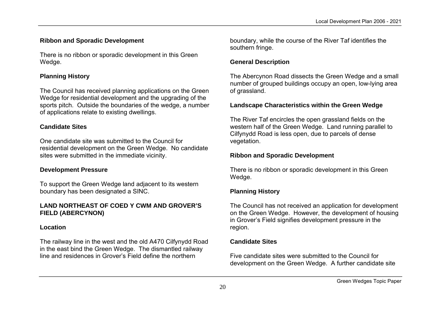#### **Ribbon and Sporadic Development**

There is no ribbon or sporadic development in this Green Wedge.

#### **Planning History**

The Council has received planning applications on the Green Wedge for residential development and the upgrading of the sports pitch. Outside the boundaries of the wedge, a number of applications relate to existing dwellings.

#### **Candidate Sites**

One candidate site was submitted to the Council for residential development on the Green Wedge. No candidate sites were submitted in the immediate vicinity.

#### **Development Pressure**

To support the Green Wedge land adjacent to its western boundary has been designated a SINC.

#### **LAND NORTHEAST OF COED Y CWM AND GROVER'S FIELD (ABERCYNON)**

#### **Location**

The railway line in the west and the old A470 Cilfynydd Road in the east bind the Green Wedge. The dismantled railway line and residences in Grover's Field define the northern

boundary, while the course of the River Taf identifies the southern fringe.

## **General Description**

The Abercynon Road dissects the Green Wedge and a small number of grouped buildings occupy an open, low-lying area of grassland.

## **Landscape Characteristics within the Green Wedge**

The River Taf encircles the open grassland fields on the western half of the Green Wedge. Land running parallel to Cilfynydd Road is less open, due to parcels of dense vegetation.

#### **Ribbon and Sporadic Development**

There is no ribbon or sporadic development in this Green Wedge.

## **Planning History**

The Council has not received an application for development on the Green Wedge. However, the development of housing in Grover's Field signifies development pressure in the region.

#### **Candidate Sites**

Five candidate sites were submitted to the Council for development on the Green Wedge. A further candidate site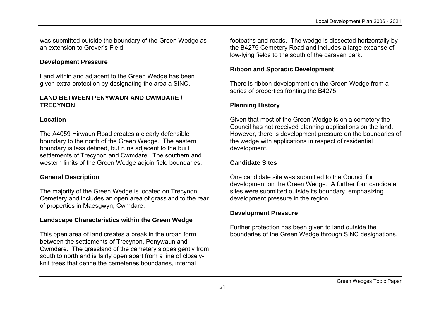was submitted outside the boundary of the Green Wedge as an extension to Grover's Field.

#### **Development Pressure**

Land within and adjacent to the Green Wedge has been given extra protection by designating the area a SINC.

#### **LAND BETWEEN PENYWAUN AND CWMDARE / TRECYNON**

#### **Location**

The A4059 Hirwaun Road creates a clearly defensible boundary to the north of the Green Wedge. The eastern boundary is less defined, but runs adjacent to the built settlements of Trecynon and Cwmdare. The southern and western limits of the Green Wedge adjoin field boundaries.

#### **General Description**

The majority of the Green Wedge is located on Trecynon Cemetery and includes an open area of grassland to the rear of properties in Maesgwyn, Cwmdare.

#### **Landscape Characteristics within the Green Wedge**

This open area of land creates a break in the urban form between the settlements of Trecynon, Penywaun and Cwmdare. The grassland of the cemetery slopes gently from south to north and is fairly open apart from a line of closelyknit trees that define the cemeteries boundaries, internal

footpaths and roads. The wedge is dissected horizontally by the B4275 Cemetery Road and includes a large expanse of low-lying fields to the south of the caravan park.

#### **Ribbon and Sporadic Development**

There is ribbon development on the Green Wedge from a series of properties fronting the B4275.

## **Planning History**

Given that most of the Green Wedge is on a cemetery the Council has not received planning applications on the land. However, there is development pressure on the boundaries of the wedge with applications in respect of residential development.

## **Candidate Sites**

One candidate site was submitted to the Council for development on the Green Wedge. A further four candidate sites were submitted outside its boundary, emphasizing development pressure in the region.

#### **Development Pressure**

Further protection has been given to land outside the boundaries of the Green Wedge through SINC designations.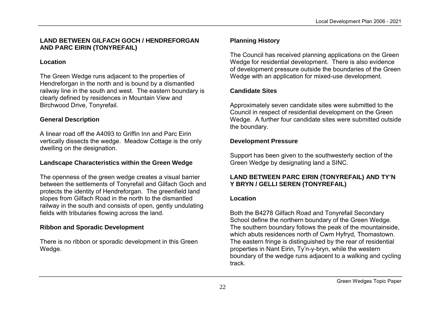#### **LAND BETWEEN GILFACH GOCH / HENDREFORGAN AND PARC EIRIN (TONYREFAIL)**

#### **Location**

The Green Wedge runs adjacent to the properties of Hendreforgan in the north and is bound by a dismantled railway line in the south and west. The eastern boundary is clearly defined by residences in Mountain View and Birchwood Drive, Tonyrefail.

#### **General Description**

A linear road off the A4093 to Griffin Inn and Parc Eirin vertically dissects the wedge. Meadow Cottage is the only dwelling on the designation.

#### **Landscape Characteristics within the Green Wedge**

The openness of the green wedge creates a visual barrier between the settlements of Tonyrefail and Gilfach Goch and protects the identity of Hendreforgan. The greenfield land slopes from Gilfach Road in the north to the dismantled railway in the south and consists of open, gently undulating fields with tributaries flowing across the land.

#### **Ribbon and Sporadic Development**

There is no ribbon or sporadic development in this Green Wedge.

#### **Planning History**

The Council has received planning applications on the Green Wedge for residential development. There is also evidence of development pressure outside the boundaries of the Green Wedge with an application for mixed-use development.

## **Candidate Sites**

Approximately seven candidate sites were submitted to the Council in respect of residential development on the Green Wedge. A further four candidate sites were submitted outside the boundary.

#### **Development Pressure**

Support has been given to the southwesterly section of the Green Wedge by designating land a SINC.

#### **LAND BETWEEN PARC EIRIN (TONYREFAIL) AND TY'N Y BRYN / GELLI SEREN (TONYREFAIL)**

#### **Location**

Both the B4278 Gilfach Road and Tonyrefail Secondary School define the northern boundary of the Green Wedge. The southern boundary follows the peak of the mountainside, which abuts residences north of Cwm Hyfryd, Thomastown. The eastern fringe is distinguished by the rear of residential properties in Nant Eirin, Ty'n-y-bryn, while the western boundary of the wedge runs adjacent to a walking and cycling track.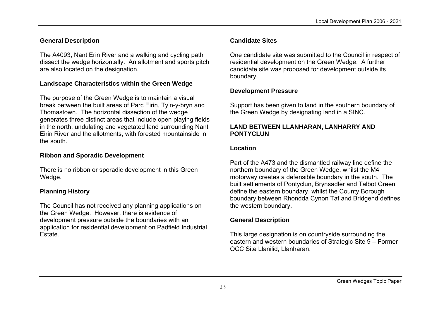## **General Description**

The A4093, Nant Erin River and a walking and cycling path dissect the wedge horizontally. An allotment and sports pitch are also located on the designation.

#### **Landscape Characteristics within the Green Wedge**

The purpose of the Green Wedge is to maintain a visual break between the built areas of Parc Eirin, Ty'n-y-bryn and Thomastown. The horizontal dissection of the wedge generates three distinct areas that include open playing fields in the north, undulating and vegetated land surrounding Nant Eirin River and the allotments, with forested mountainside in the south.

#### **Ribbon and Sporadic Development**

There is no ribbon or sporadic development in this Green Wedge.

#### **Planning History**

The Council has not received any planning applications on the Green Wedge. However, there is evidence of development pressure outside the boundaries with an application for residential development on Padfield Industrial Estate.

#### **Candidate Sites**

One candidate site was submitted to the Council in respect of residential development on the Green Wedge. A further candidate site was proposed for development outside its boundary.

#### **Development Pressure**

Support has been given to land in the southern boundary of the Green Wedge by designating land in a SINC.

#### **LAND BETWEEN LLANHARAN, LANHARRY AND PONTYCLUN**

#### **Location**

Part of the A473 and the dismantled railway line define the northern boundary of the Green Wedge, whilst the M4 motorway creates a defensible boundary in the south. The built settlements of Pontyclun, Brynsadler and Talbot Green define the eastern boundary, whilst the County Borough boundary between Rhondda Cynon Taf and Bridgend defines the western boundary.

## **General Description**

This large designation is on countryside surrounding the eastern and western boundaries of Strategic Site 9 – Former OCC Site Llanilid, Llanharan.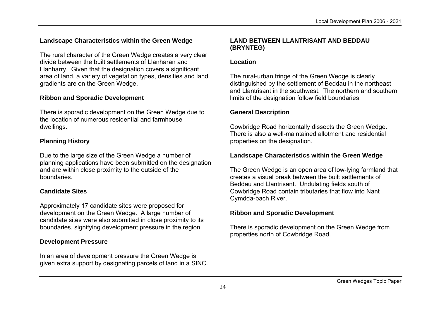## **Landscape Characteristics within the Green Wedge**

The rural character of the Green Wedge creates a very clear divide between the built settlements of Llanharan and Llanharry. Given that the designation covers a significant area of land, a variety of vegetation types, densities and land gradients are on the Green Wedge.

#### **Ribbon and Sporadic Development**

There is sporadic development on the Green Wedge due to the location of numerous residential and farmhouse dwellings.

## **Planning History**

Due to the large size of the Green Wedge a number of planning applications have been submitted on the designation and are within close proximity to the outside of the boundaries.

#### **Candidate Sites**

Approximately 17 candidate sites were proposed for development on the Green Wedge. A large number of candidate sites were also submitted in close proximity to its boundaries, signifying development pressure in the region.

#### **Development Pressure**

In an area of development pressure the Green Wedge is given extra support by designating parcels of land in a SINC.

## **LAND BETWEEN LLANTRISANT AND BEDDAU (BRYNTEG)**

#### **Location**

The rural-urban fringe of the Green Wedge is clearly distinguished by the settlement of Beddau in the northeast and Llantrisant in the southwest. The northern and southern limits of the designation follow field boundaries.

## **General Description**

Cowbridge Road horizontally dissects the Green Wedge. There is also a well-maintained allotment and residential properties on the designation.

## **Landscape Characteristics within the Green Wedge**

The Green Wedge is an open area of low-lying farmland that creates a visual break between the built settlements of Beddau and Llantrisant. Undulating fields south of Cowbridge Road contain tributaries that flow into Nant Cymdda-bach River.

## **Ribbon and Sporadic Development**

There is sporadic development on the Green Wedge from properties north of Cowbridge Road.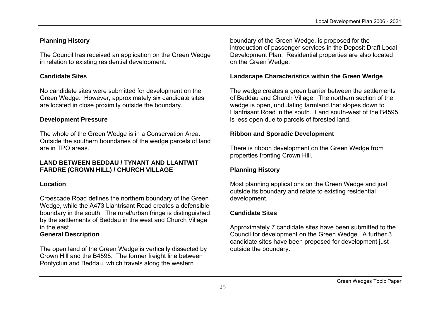# **Planning History**

The Council has received an application on the Green Wedge in relation to existing residential development.

## **Candidate Sites**

No candidate sites were submitted for development on the Green Wedge. However, approximately six candidate sites are located in close proximity outside the boundary.

## **Development Pressure**

The whole of the Green Wedge is in a Conservation Area. Outside the southern boundaries of the wedge parcels of land are in TPO areas.

## **LAND BETWEEN BEDDAU / TYNANT AND LLANTWIT FARDRE (CROWN HILL) / CHURCH VILLAGE**

## **Location**

Croescade Road defines the northern boundary of the Green Wedge, while the A473 Llantrisant Road creates a defensible boundary in the south. The rural/urban fringe is distinguished by the settlements of Beddau in the west and Church Village in the east.

## **General Description**

The open land of the Green Wedge is vertically dissected by Crown Hill and the B4595. The former freight line between Pontyclun and Beddau, which travels along the western

boundary of the Green Wedge, is proposed for the introduction of passenger services in the Deposit Draft Local Development Plan. Residential properties are also located on the Green Wedge.

## **Landscape Characteristics within the Green Wedge**

The wedge creates a green barrier between the settlements of Beddau and Church Village. The northern section of the wedge is open, undulating farmland that slopes down to Llantrisant Road in the south. Land south-west of the B4595 is less open due to parcels of forested land.

## **Ribbon and Sporadic Development**

There is ribbon development on the Green Wedge from properties fronting Crown Hill.

## **Planning History**

Most planning applications on the Green Wedge and just outside its boundary and relate to existing residential development.

## **Candidate Sites**

Approximately 7 candidate sites have been submitted to the Council for development on the Green Wedge. A further 3 candidate sites have been proposed for development just outside the boundary.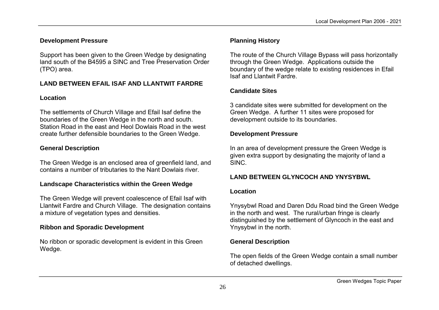## **Development Pressure**

Support has been given to the Green Wedge by designating land south of the B4595 a SINC and Tree Preservation Order (TPO) area.

## **LAND BETWEEN EFAIL ISAF AND LLANTWIT FARDRE**

## **Location**

The settlements of Church Village and Efail Isaf define the boundaries of the Green Wedge in the north and south. Station Road in the east and Heol Dowlais Road in the west create further defensible boundaries to the Green Wedge.

# **General Description**

The Green Wedge is an enclosed area of greenfield land, and contains a number of tributaries to the Nant Dowlais river.

## **Landscape Characteristics within the Green Wedge**

The Green Wedge will prevent coalescence of Efail Isaf with Llantwit Fardre and Church Village. The designation contains a mixture of vegetation types and densities.

# **Ribbon and Sporadic Development**

No ribbon or sporadic development is evident in this Green Wedge.

# **Planning History**

The route of the Church Village Bypass will pass horizontally through the Green Wedge. Applications outside the boundary of the wedge relate to existing residences in Efail Isaf and Llantwit Fardre.

# **Candidate Sites**

3 candidate sites were submitted for development on the Green Wedge. A further 11 sites were proposed for development outside to its boundaries.

## **Development Pressure**

In an area of development pressure the Green Wedge is given extra support by designating the majority of land a SINC.

# **LAND BETWEEN GLYNCOCH AND YNYSYBWL**

## **Location**

Ynysybwl Road and Daren Ddu Road bind the Green Wedge in the north and west. The rural/urban fringe is clearly distinguished by the settlement of Glyncoch in the east and Ynysybwl in the north.

# **General Description**

The open fields of the Green Wedge contain a small number of detached dwellings.